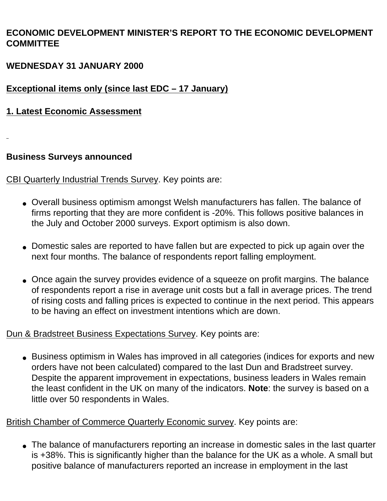# **ECONOMIC DEVELOPMENT MINISTER'S REPORT TO THE ECONOMIC DEVELOPMENT COMMITTEE**

# **WEDNESDAY 31 JANUARY 2000**

# **Exceptional items only (since last EDC – 17 January)**

# **1. Latest Economic Assessment**

# **Business Surveys announced**

CBI Quarterly Industrial Trends Survey. Key points are:

- Overall business optimism amongst Welsh manufacturers has fallen. The balance of firms reporting that they are more confident is -20%. This follows positive balances in the July and October 2000 surveys. Export optimism is also down.
- Domestic sales are reported to have fallen but are expected to pick up again over the next four months. The balance of respondents report falling employment.
- Once again the survey provides evidence of a squeeze on profit margins. The balance of respondents report a rise in average unit costs but a fall in average prices. The trend of rising costs and falling prices is expected to continue in the next period. This appears to be having an effect on investment intentions which are down.

# Dun & Bradstreet Business Expectations Survey. Key points are:

• Business optimism in Wales has improved in all categories (indices for exports and new orders have not been calculated) compared to the last Dun and Bradstreet survey. Despite the apparent improvement in expectations, business leaders in Wales remain the least confident in the UK on many of the indicators. **Note**: the survey is based on a little over 50 respondents in Wales.

British Chamber of Commerce Quarterly Economic survey. Key points are:

• The balance of manufacturers reporting an increase in domestic sales in the last quarter is +38%. This is significantly higher than the balance for the UK as a whole. A small but positive balance of manufacturers reported an increase in employment in the last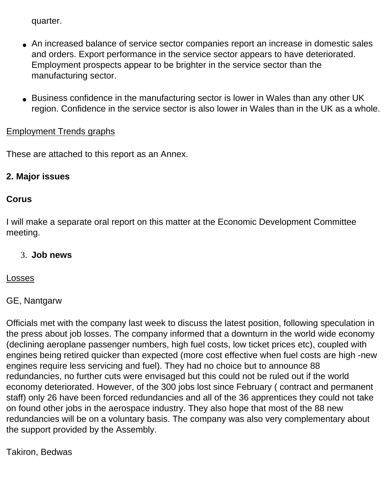quarter.

- An increased balance of service sector companies report an increase in domestic sales and orders. Export performance in the service sector appears to have deteriorated. Employment prospects appear to be brighter in the service sector than the manufacturing sector.
- Business confidence in the manufacturing sector is lower in Wales than any other UK region. Confidence in the service sector is also lower in Wales than in the UK as a whole.

# Employment Trends graphs

These are attached to this report as an Annex.

# **2. Major issues**

## **Corus**

I will make a separate oral report on this matter at the Economic Development Committee meeting.

## 3. **Job news**

## Losses

# GE, Nantgarw

Officials met with the company last week to discuss the latest position, following speculation in the press about job losses. The company informed that a downturn in the world wide economy (declining aeroplane passenger numbers, high fuel costs, low ticket prices etc), coupled with engines being retired quicker than expected (more cost effective when fuel costs are high -new engines require less servicing and fuel). They had no choice but to announce 88 redundancies, no further cuts were envisaged but this could not be ruled out if the world economy deteriorated. However, of the 300 jobs lost since February ( contract and permanent staff) only 26 have been forced redundancies and all of the 36 apprentices they could not take on found other jobs in the aerospace industry. They also hope that most of the 88 new redundancies will be on a voluntary basis. The company was also very complementary about the support provided by the Assembly.

# Takiron, Bedwas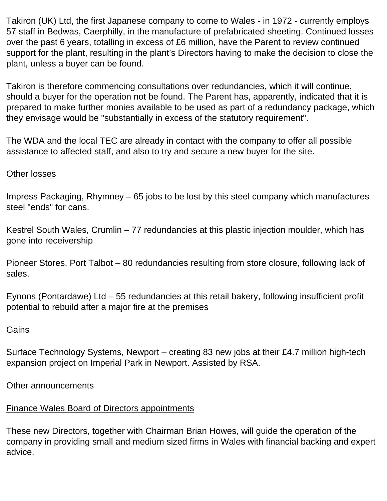Takiron (UK) Ltd, the first Japanese company to come to Wales - in 1972 - currently employs 57 staff in Bedwas, Caerphilly, in the manufacture of prefabricated sheeting. Continued losses over the past 6 years, totalling in excess of £6 million, have the Parent to review continued support for the plant, resulting in the plant's Directors having to make the decision to close the plant, unless a buyer can be found.

Takiron is therefore commencing consultations over redundancies, which it will continue, should a buyer for the operation not be found. The Parent has, apparently, indicated that it is prepared to make further monies available to be used as part of a redundancy package, which they envisage would be "substantially in excess of the statutory requirement".

The WDA and the local TEC are already in contact with the company to offer all possible assistance to affected staff, and also to try and secure a new buyer for the site.

## Other losses

Impress Packaging, Rhymney – 65 jobs to be lost by this steel company which manufactures steel "ends" for cans.

Kestrel South Wales, Crumlin – 77 redundancies at this plastic injection moulder, which has gone into receivership

Pioneer Stores, Port Talbot – 80 redundancies resulting from store closure, following lack of sales.

Eynons (Pontardawe) Ltd – 55 redundancies at this retail bakery, following insufficient profit potential to rebuild after a major fire at the premises

## **Gains**

Surface Technology Systems, Newport – creating 83 new jobs at their £4.7 million high-tech expansion project on Imperial Park in Newport. Assisted by RSA.

## Other announcements

# Finance Wales Board of Directors appointments

These new Directors, together with Chairman Brian Howes, will guide the operation of the company in providing small and medium sized firms in Wales with financial backing and expert advice.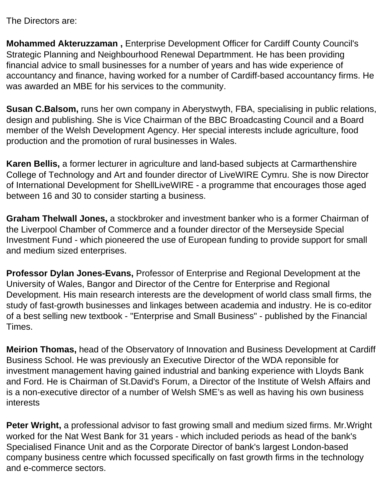The Directors are:

**Mohammed Akteruzzaman ,** Enterprise Development Officer for Cardiff County Council's Strategic Planning and Neighbourhood Renewal Departmment. He has been providing financial advice to small businesses for a number of years and has wide experience of accountancy and finance, having worked for a number of Cardiff-based accountancy firms. He was awarded an MBE for his services to the community.

**Susan C.Balsom,** runs her own company in Aberystwyth, FBA, specialising in public relations, design and publishing. She is Vice Chairman of the BBC Broadcasting Council and a Board member of the Welsh Development Agency. Her special interests include agriculture, food production and the promotion of rural businesses in Wales.

**Karen Bellis,** a former lecturer in agriculture and land-based subjects at Carmarthenshire College of Technology and Art and founder director of LiveWIRE Cymru. She is now Director of International Development for ShellLiveWIRE - a programme that encourages those aged between 16 and 30 to consider starting a business.

**Graham Thelwall Jones,** a stockbroker and investment banker who is a former Chairman of the Liverpool Chamber of Commerce and a founder director of the Merseyside Special Investment Fund - which pioneered the use of European funding to provide support for small and medium sized enterprises.

**Professor Dylan Jones-Evans,** Professor of Enterprise and Regional Development at the University of Wales, Bangor and Director of the Centre for Enterprise and Regional Development. His main research interests are the development of world class small firms, the study of fast-growth businesses and linkages between academia and industry. He is co-editor of a best selling new textbook - "Enterprise and Small Business" - published by the Financial Times.

**Meirion Thomas,** head of the Observatory of Innovation and Business Development at Cardiff Business School. He was previously an Executive Director of the WDA reponsible for investment management having gained industrial and banking experience with Lloyds Bank and Ford. He is Chairman of St.David's Forum, a Director of the Institute of Welsh Affairs and is a non-executive director of a number of Welsh SME's as well as having his own business interests

**Peter Wright,** a professional advisor to fast growing small and medium sized firms. Mr.Wright worked for the Nat West Bank for 31 years - which included periods as head of the bank's Specialised Finance Unit and as the Corporate Director of bank's largest London-based company business centre which focussed specifically on fast growth firms in the technology and e-commerce sectors.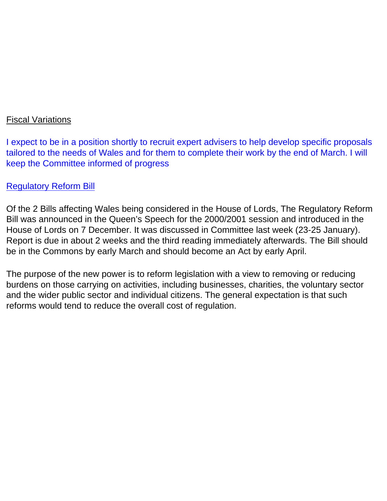## Fiscal Variations

I expect to be in a position shortly to recruit expert advisers to help develop specific proposals tailored to the needs of Wales and for them to complete their work by the end of March. I will keep the Committee informed of progress

## Regulatory Reform Bill

Of the 2 Bills affecting Wales being considered in the House of Lords, The Regulatory Reform Bill was announced in the Queen's Speech for the 2000/2001 session and introduced in the House of Lords on 7 December. It was discussed in Committee last week (23-25 January). Report is due in about 2 weeks and the third reading immediately afterwards. The Bill should be in the Commons by early March and should become an Act by early April.

The purpose of the new power is to reform legislation with a view to removing or reducing burdens on those carrying on activities, including businesses, charities, the voluntary sector and the wider public sector and individual citizens. The general expectation is that such reforms would tend to reduce the overall cost of regulation.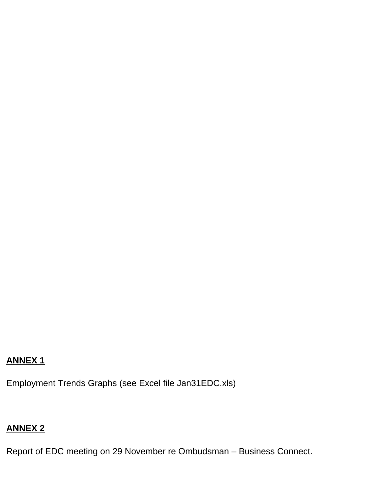# **ANNEX 1**

Employment Trends Graphs (see Excel file Jan31EDC.xls)

 $\equiv$ 

# **ANNEX 2**

Report of EDC meeting on 29 November re Ombudsman – Business Connect.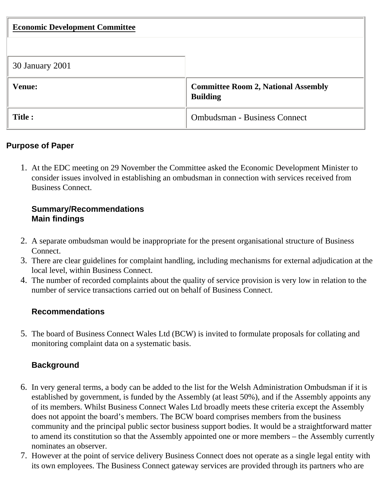| <b>Economic Development Committee</b> |                                                               |
|---------------------------------------|---------------------------------------------------------------|
|                                       |                                                               |
| 30 January 2001                       |                                                               |
| <b>Venue:</b>                         | <b>Committee Room 2, National Assembly</b><br><b>Building</b> |
| Title :                               | <b>Ombudsman - Business Connect</b>                           |

## **Purpose of Paper**

1. At the EDC meeting on 29 November the Committee asked the Economic Development Minister to consider issues involved in establishing an ombudsman in connection with services received from Business Connect.

## **Summary/Recommendations Main findings**

- 2. A separate ombudsman would be inappropriate for the present organisational structure of Business Connect.
- 3. There are clear guidelines for complaint handling, including mechanisms for external adjudication at the local level, within Business Connect.
- 4. The number of recorded complaints about the quality of service provision is very low in relation to the number of service transactions carried out on behalf of Business Connect.

## **Recommendations**

5. The board of Business Connect Wales Ltd (BCW) is invited to formulate proposals for collating and monitoring complaint data on a systematic basis.

# **Background**

- 6. In very general terms, a body can be added to the list for the Welsh Administration Ombudsman if it is established by government, is funded by the Assembly (at least 50%), and if the Assembly appoints any of its members. Whilst Business Connect Wales Ltd broadly meets these criteria except the Assembly does not appoint the board's members. The BCW board comprises members from the business community and the principal public sector business support bodies. It would be a straightforward matter to amend its constitution so that the Assembly appointed one or more members – the Assembly currently nominates an observer.
- 7. However at the point of service delivery Business Connect does not operate as a single legal entity with its own employees. The Business Connect gateway services are provided through its partners who are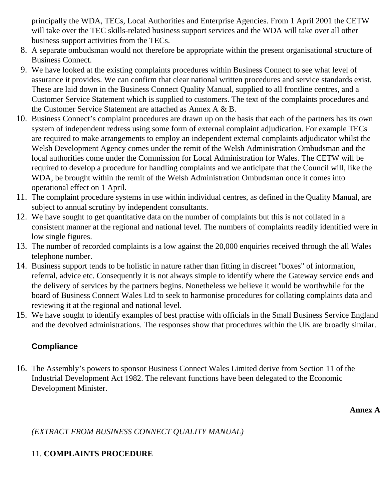principally the WDA, TECs, Local Authorities and Enterprise Agencies. From 1 April 2001 the CETW will take over the TEC skills-related business support services and the WDA will take over all other business support activities from the TECs.

- 8. A separate ombudsman would not therefore be appropriate within the present organisational structure of Business Connect.
- 9. We have looked at the existing complaints procedures within Business Connect to see what level of assurance it provides. We can confirm that clear national written procedures and service standards exist. These are laid down in the Business Connect Quality Manual, supplied to all frontline centres, and a Customer Service Statement which is supplied to customers. The text of the complaints procedures and the Customer Service Statement are attached as Annex A & B.
- 10. Business Connect's complaint procedures are drawn up on the basis that each of the partners has its own system of independent redress using some form of external complaint adjudication. For example TECs are required to make arrangements to employ an independent external complaints adjudicator whilst the Welsh Development Agency comes under the remit of the Welsh Administration Ombudsman and the local authorities come under the Commission for Local Administration for Wales. The CETW will be required to develop a procedure for handling complaints and we anticipate that the Council will, like the WDA, be brought within the remit of the Welsh Administration Ombudsman once it comes into operational effect on 1 April.
- 11. The complaint procedure systems in use within individual centres, as defined in the Quality Manual, are subject to annual scrutiny by independent consultants.
- 12. We have sought to get quantitative data on the number of complaints but this is not collated in a consistent manner at the regional and national level. The numbers of complaints readily identified were in low single figures.
- 13. The number of recorded complaints is a low against the 20,000 enquiries received through the all Wales telephone number.
- 14. Business support tends to be holistic in nature rather than fitting in discreet "boxes" of information, referral, advice etc. Consequently it is not always simple to identify where the Gateway service ends and the delivery of services by the partners begins. Nonetheless we believe it would be worthwhile for the board of Business Connect Wales Ltd to seek to harmonise procedures for collating complaints data and reviewing it at the regional and national level.
- 15. We have sought to identify examples of best practise with officials in the Small Business Service England and the devolved administrations. The responses show that procedures within the UK are broadly similar.

# **Compliance**

16. The Assembly's powers to sponsor Business Connect Wales Limited derive from Section 11 of the Industrial Development Act 1982. The relevant functions have been delegated to the Economic Development Minister.

**Annex A**

*(EXTRACT FROM BUSINESS CONNECT QUALITY MANUAL)* 

## 11. **COMPLAINTS PROCEDURE**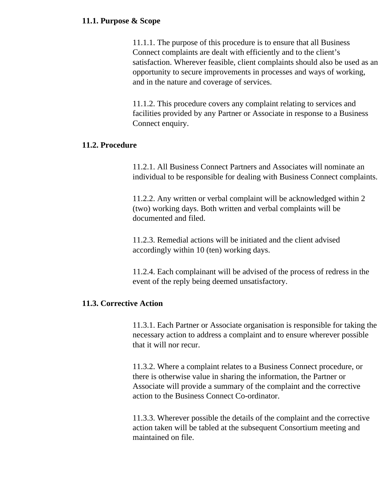### **11.1. Purpose & Scope**

11.1.1. The purpose of this procedure is to ensure that all Business Connect complaints are dealt with efficiently and to the client's satisfaction. Wherever feasible, client complaints should also be used as an opportunity to secure improvements in processes and ways of working, and in the nature and coverage of services.

11.1.2. This procedure covers any complaint relating to services and facilities provided by any Partner or Associate in response to a Business Connect enquiry.

### **11.2. Procedure**

11.2.1. All Business Connect Partners and Associates will nominate an individual to be responsible for dealing with Business Connect complaints.

11.2.2. Any written or verbal complaint will be acknowledged within 2 (two) working days. Both written and verbal complaints will be documented and filed.

11.2.3. Remedial actions will be initiated and the client advised accordingly within 10 (ten) working days.

11.2.4. Each complainant will be advised of the process of redress in the event of the reply being deemed unsatisfactory.

### **11.3. Corrective Action**

11.3.1. Each Partner or Associate organisation is responsible for taking the necessary action to address a complaint and to ensure wherever possible that it will nor recur.

11.3.2. Where a complaint relates to a Business Connect procedure, or there is otherwise value in sharing the information, the Partner or Associate will provide a summary of the complaint and the corrective action to the Business Connect Co-ordinator.

11.3.3. Wherever possible the details of the complaint and the corrective action taken will be tabled at the subsequent Consortium meeting and maintained on file.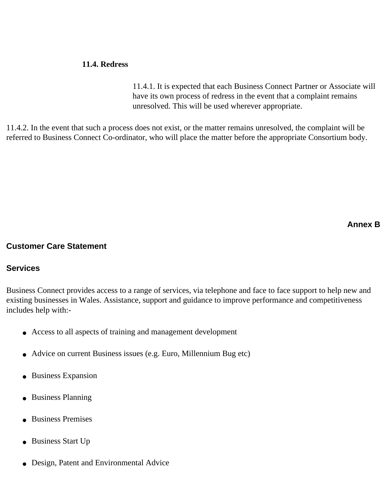#### **11.4. Redress**

11.4.1. It is expected that each Business Connect Partner or Associate will have its own process of redress in the event that a complaint remains unresolved. This will be used wherever appropriate.

11.4.2. In the event that such a process does not exist, or the matter remains unresolved, the complaint will be referred to Business Connect Co-ordinator, who will place the matter before the appropriate Consortium body.

**Annex B**

#### **Customer Care Statement**

### **Services**

Business Connect provides access to a range of services, via telephone and face to face support to help new and existing businesses in Wales. Assistance, support and guidance to improve performance and competitiveness includes help with:-

- Access to all aspects of training and management development
- Advice on current Business issues (e.g. Euro, Millennium Bug etc)
- Business Expansion
- Business Planning
- Business Premises
- Business Start Up
- Design, Patent and Environmental Advice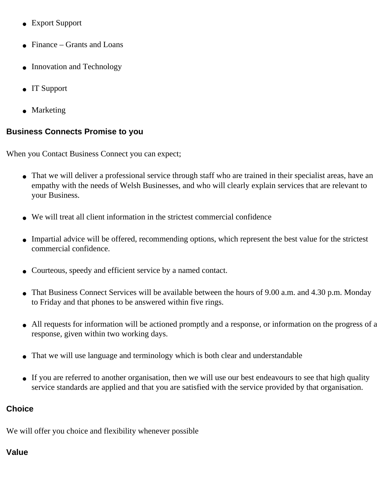- Export Support
- $\bullet$  Finance Grants and Loans
- Innovation and Technology
- IT Support
- Marketing

## **Business Connects Promise to you**

When you Contact Business Connect you can expect;

- That we will deliver a professional service through staff who are trained in their specialist areas, have an empathy with the needs of Welsh Businesses, and who will clearly explain services that are relevant to your Business.
- We will treat all client information in the strictest commercial confidence
- Impartial advice will be offered, recommending options, which represent the best value for the strictest commercial confidence.
- Courteous, speedy and efficient service by a named contact.
- That Business Connect Services will be available between the hours of 9.00 a.m. and 4.30 p.m. Monday to Friday and that phones to be answered within five rings.
- All requests for information will be actioned promptly and a response, or information on the progress of a response, given within two working days.
- That we will use language and terminology which is both clear and understandable
- If you are referred to another organisation, then we will use our best endeavours to see that high quality service standards are applied and that you are satisfied with the service provided by that organisation.

## **Choice**

We will offer you choice and flexibility whenever possible

## **Value**